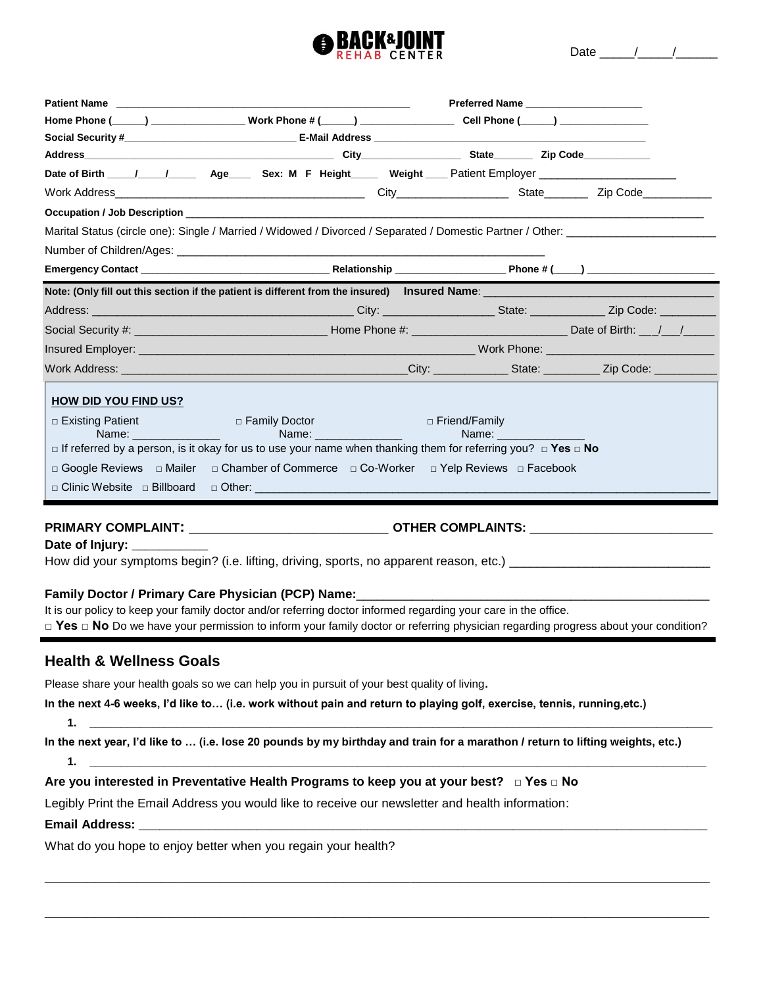

|                                                                                                                                                                                                                                                                 |                 | Preferred Name |
|-----------------------------------------------------------------------------------------------------------------------------------------------------------------------------------------------------------------------------------------------------------------|-----------------|----------------|
| Home Phone (_____) ___________________Work Phone # (_____) _____________________ Cell Phone (_____) _______________                                                                                                                                             |                 |                |
| Social Security # 2008 Contract Contract Contract Contract Contract Contract Contract Contract Contract Contract Contract Contract Contract Contract Contract Contract Contract Contract Contract Contract Contract Contract C                                  |                 |                |
|                                                                                                                                                                                                                                                                 |                 |                |
|                                                                                                                                                                                                                                                                 |                 |                |
|                                                                                                                                                                                                                                                                 |                 |                |
| Occupation / Job Description <b>Analyzing Contract Contract Contract Contract Contract Contract Contract Contract Contract Contract Contract Contract Contract Contract Contract Contract Contract Contract Contract Contract Co</b>                            |                 |                |
|                                                                                                                                                                                                                                                                 |                 |                |
|                                                                                                                                                                                                                                                                 |                 |                |
|                                                                                                                                                                                                                                                                 |                 |                |
| Note: (Only fill out this section if the patient is different from the insured) Insured Name: [[11] Note: (Only fill out this section if the patient is different from the insured) Insured Name:                                                               |                 |                |
|                                                                                                                                                                                                                                                                 |                 |                |
| Social Security #: \\connectled \\connectled \\connectled \\connectled \\connectled \\connectled \\connectled \\connectled \\connectled \\connectled \\connectled \\connectled \\connectled \\connectled \\connectled \\connec                                  |                 |                |
|                                                                                                                                                                                                                                                                 |                 |                |
|                                                                                                                                                                                                                                                                 |                 |                |
| <b>HOW DID YOU FIND US?</b>                                                                                                                                                                                                                                     |                 |                |
| $\Box$ Existing Patient $\Box$<br>□ Family Doctor All According to the Control of the Control of the Control of the Control of the Control of the Control of the Control of the Control of the Control of the Control of the Control of the Control of the Cont | □ Friend/Family |                |
| $\Box$ If referred by a person, is it okay for us to use your name when thanking them for referring you? $\Box$ Yes $\Box$ No                                                                                                                                   |                 |                |
| □ Google Reviews □ Mailer □ Chamber of Commerce □ Co-Worker □ Yelp Reviews □ Facebook                                                                                                                                                                           |                 |                |
| $\Box$ Clinic Website $\Box$ Billboard                                                                                                                                                                                                                          |                 |                |
|                                                                                                                                                                                                                                                                 |                 |                |

**PRIMARY COMPLAINT: \_\_\_\_\_\_\_\_\_\_\_\_\_\_\_\_\_\_\_\_\_\_\_\_ OTHER COMPLAINTS: \_\_\_\_\_\_\_\_\_\_\_\_\_\_\_\_\_\_\_\_\_\_**

Date of Injury:

How did your symptoms begin? (i.e. lifting, driving, sports, no apparent reason, etc.) \_\_\_\_\_\_\_\_\_\_\_\_\_\_\_\_\_\_\_\_\_\_\_

#### **Family Doctor / Primary Care Physician (PCP) Name:**\_\_\_\_\_\_\_\_\_\_\_\_\_\_\_\_\_\_\_\_\_\_\_\_\_\_\_\_\_\_\_\_\_\_\_\_\_\_\_\_\_\_\_\_\_\_\_\_\_\_\_

It is our policy to keep your family doctor and/or referring doctor informed regarding your care in the office.

**□ Yes □ No** Do we have your permission to inform your family doctor or referring physician regarding progress about your condition?

## **Health & Wellness Goals**

Please share your health goals so we can help you in pursuit of your best quality of living**.** 

**In the next 4-6 weeks, I'd like to… (i.e. work without pain and return to playing golf, exercise, tennis, running,etc.)**

**1. \_\_\_\_\_\_\_\_\_\_\_\_\_\_\_\_\_\_\_\_\_\_\_\_\_\_\_\_\_\_\_\_\_\_\_\_\_\_\_\_\_\_\_\_\_\_\_\_\_\_\_\_\_\_\_\_\_\_\_\_\_\_\_\_\_\_\_\_\_\_\_\_\_\_\_\_\_\_\_\_\_\_\_\_\_\_\_\_\_\_\_\_\_\_\_\_\_\_\_\_**

**In the next year, I'd like to … (i.e. lose 20 pounds by my birthday and train for a marathon / return to lifting weights, etc.) 1. \_\_\_\_\_\_\_\_\_\_\_\_\_\_\_\_\_\_\_\_\_\_\_\_\_\_\_\_\_\_\_\_\_\_\_\_\_\_\_\_\_\_\_\_\_\_\_\_\_\_\_\_\_\_\_\_\_\_\_\_\_\_\_\_\_\_\_\_\_\_\_\_\_\_\_\_\_\_\_\_\_\_\_\_\_\_\_\_\_\_\_\_\_\_\_\_\_\_\_**

**\_\_\_\_\_\_\_\_\_\_\_\_\_\_\_\_\_\_\_\_\_\_\_\_\_\_\_\_\_\_\_\_\_\_\_\_\_\_\_\_\_\_\_\_\_\_\_\_\_\_\_\_\_\_\_\_\_\_\_\_\_\_\_\_\_\_\_\_\_\_\_\_\_\_\_\_\_\_\_\_**

**\_\_\_\_\_\_\_\_\_\_\_\_\_\_\_\_\_\_\_\_\_\_\_\_\_\_\_\_\_\_\_\_\_\_\_\_\_\_\_\_\_\_\_\_\_\_\_\_\_\_\_\_\_\_\_\_\_\_\_\_\_\_\_\_\_\_\_\_\_\_\_\_\_\_\_\_\_\_\_\_**

**Are you interested in Preventative Health Programs to keep you at your best? □ Yes □ No**

Legibly Print the Email Address you would like to receive our newsletter and health information:

#### **Email Address: \_\_\_\_\_\_\_\_\_\_\_\_\_\_\_\_\_\_\_\_\_\_\_\_\_\_\_\_\_\_\_\_\_\_\_\_\_\_\_\_\_\_\_\_\_\_\_\_\_\_\_\_\_\_\_\_\_\_\_\_\_\_\_\_\_\_\_\_\_\_\_\_\_\_\_\_\_\_\_\_\_\_**

What do you hope to enjoy better when you regain your health?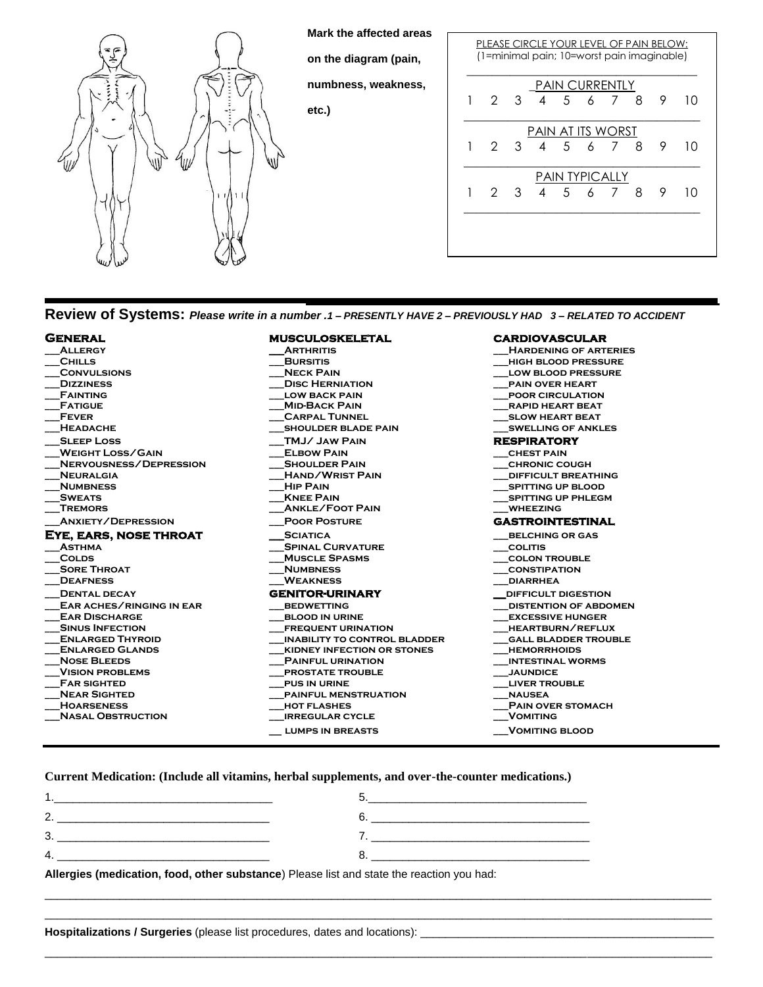

**Mark the affected areas** 

**on the diagram (pain,** 

**numbness, weakness,** 

**etc.)**

|                   | PLEASE CIRCLE YOUR LEVEL OF PAIN BELOW:<br>(1=minimal pain; 10=worst pain imaginable) |               |                |                |                       |                |    |   |    |
|-------------------|---------------------------------------------------------------------------------------|---------------|----------------|----------------|-----------------------|----------------|----|---|----|
|                   |                                                                                       |               |                |                | <b>PAIN CURRENTLY</b> |                |    |   |    |
|                   | $\mathcal{P}$                                                                         | $\mathcal{B}$ | 4              | 5 <sup>1</sup> |                       | 6 7            | -8 | 9 | 10 |
| PAIN AT ITS WORST |                                                                                       |               |                |                |                       |                |    |   |    |
| 1                 | 2.                                                                                    | $\mathcal{S}$ | $\overline{4}$ | $5 -$          | $\overline{6}$        | - 7 8          |    | 9 | 10 |
|                   |                                                                                       |               |                |                | <b>PAIN TYPICALLY</b> |                |    |   |    |
|                   | $\mathcal{P}$                                                                         | 3             | $\overline{4}$ | .5             | $\epsilon$            | $\overline{7}$ | 8  | 9 | 10 |
|                   |                                                                                       |               |                |                |                       |                |    |   |    |
|                   |                                                                                       |               |                |                |                       |                |    |   |    |
|                   |                                                                                       |               |                |                |                       |                |    |   |    |

**Review of Systems:** *Please write in a number .1 – PRESENTLY HAVE 2 – PREVIOUSLY HAD 3 – RELATED TO ACCIDENT* 

| <b>GENERAL</b>            | <b>MUSCULOSKELETAL</b>              | <b>CARDIOVASCULAR</b>        |
|---------------------------|-------------------------------------|------------------------------|
| <b>ALLERGY</b>            | <b>ARTHRITIS</b>                    | <b>HARDENING OF ARTERIES</b> |
| <b>CHILLS</b>             | <b>BURSITIS</b>                     | <b>HIGH BLOOD PRESSURE</b>   |
| <b>CONVULSIONS</b>        | <b>NECK PAIN</b>                    | <b>LOW BLOOD PRESSURE</b>    |
| <b>DIZZINESS</b>          | <b>DISC HERNIATION</b>              | <b>PAIN OVER HEART</b>       |
| <b>FAINTING</b>           | <b>LOW BACK PAIN</b>                | <b>POOR CIRCULATION</b>      |
| <b>FATIGUE</b>            | <b>MID-BACK PAIN</b>                | <b>RAPID HEART BEAT</b>      |
| <b>FEVER</b>              | <b>CARPAL TUNNEL</b>                | <b>SLOW HEART BEAT</b>       |
| <b>HEADACHE</b>           | <b>SHOULDER BLADE PAIN</b>          | <b>SWELLING OF ANKLES</b>    |
| <b>SLEEP LOSS</b>         | TMJ/JAW PAIN                        | <b>RESPIRATORY</b>           |
| <b>WEIGHT LOSS/GAIN</b>   | <b>ELBOW PAIN</b>                   | <b>CHEST PAIN</b>            |
| NERVOUSNESS/DEPRESSION    | <b>SHOULDER PAIN</b>                | <b>CHRONIC COUGH</b>         |
| <b>NEURALGIA</b>          | <b>HAND/WRIST PAIN</b>              | <b>DIFFICULT BREATHING</b>   |
| <b>NUMBNESS</b>           | <b>HIP PAIN</b>                     | <b>SPITTING UP BLOOD</b>     |
| <b>SWEATS</b>             | <b>KNEE PAIN</b>                    | <b>SPITTING UP PHLEGM</b>    |
| <b>TREMORS</b>            | <b>ANKLE/FOOT PAIN</b>              | <b>WHEEZING</b>              |
| <b>ANXIETY/DEPRESSION</b> | <b>POOR POSTURE</b>                 | <b>GASTROINTESTINAL</b>      |
| EYE, EARS, NOSE THROAT    | <b>SCIATICA</b>                     | <b>BELCHING OR GAS</b>       |
| <b>ASTHMA</b>             | <b>SPINAL CURVATURE</b>             | <b>COLITIS</b>               |
| <b>COLDS</b>              | <b>MUSCLE SPASMS</b>                | <b>COLON TROUBLE</b>         |
| <b>SORE THROAT</b>        | <b>NUMBNESS</b>                     | <b>CONSTIPATION</b>          |
| <b>DEAFNESS</b>           | <b>WEAKNESS</b>                     | <b>DIARRHEA</b>              |
| <b>DENTAL DECAY</b>       | <b>GENITOR-URINARY</b>              | <b>DIFFICULT DIGESTION</b>   |
| EAR ACHES/RINGING IN EAR  | <b>BEDWETTING</b>                   | <b>DISTENTION OF ABDOMEN</b> |
| <b>EAR DISCHARGE</b>      | <b>BLOOD IN URINE</b>               | <b>EXCESSIVE HUNGER</b>      |
| <b>SINUS INFECTION</b>    | <b>FREQUENT URINATION</b>           | HEARTBURN/REFLUX             |
| <b>ENLARGED THYROID</b>   | <b>INABILITY TO CONTROL BLADDER</b> | <b>GALL BLADDER TROUBLE</b>  |
| <b>ENLARGED GLANDS</b>    | <b>KIDNEY INFECTION OR STONES</b>   | <b>HEMORRHOIDS</b>           |
| <b>NOSE BLEEDS</b>        | <b>PAINFUL URINATION</b>            | <b>INTESTINAL WORMS</b>      |
| <b>VISION PROBLEMS</b>    | <b>PROSTATE TROUBLE</b>             | <b>JAUNDICE</b>              |
| <b>FAR SIGHTED</b>        | <b>PUS IN URINE</b>                 | <b>LIVER TROUBLE</b>         |
| <b>NEAR SIGHTED</b>       | <b>PAINFUL MENSTRUATION</b>         | <b>NAUSEA</b>                |
| <b>HOARSENESS</b>         | <b>HOT FLASHES</b>                  | <b>PAIN OVER STOMACH</b>     |
| <b>NASAL OBSTRUCTION</b>  | <b>IRREGULAR CYCLE</b>              | <b>VOMITING</b>              |
|                           | <b>LUMPS IN BREASTS</b>             | <b>VOMITING BLOOD</b>        |

\_\_\_\_\_\_\_\_\_\_\_\_\_\_\_\_\_\_\_\_\_\_\_\_\_\_\_\_\_\_\_\_\_\_\_\_\_\_\_\_\_\_\_\_\_\_\_\_\_\_\_\_\_\_\_\_\_\_\_\_\_\_\_\_\_\_\_\_\_\_\_\_\_\_\_\_\_\_\_\_\_\_\_\_\_\_\_\_\_\_\_\_\_\_\_\_\_\_\_\_\_\_\_\_\_\_\_ \_\_\_\_\_\_\_\_\_\_\_\_\_\_\_\_\_\_\_\_\_\_\_\_\_\_\_\_\_\_\_\_\_\_\_\_\_\_\_\_\_\_\_\_\_\_\_\_\_\_\_\_\_\_\_\_\_\_\_\_\_\_\_\_\_\_\_\_\_\_\_\_\_\_\_\_\_\_\_\_\_\_\_\_\_\_\_\_\_\_\_\_\_\_\_\_\_\_\_\_\_\_\_\_\_\_\_

\_\_\_\_\_\_\_\_\_\_\_\_\_\_\_\_\_\_\_\_\_\_\_\_\_\_\_\_\_\_\_\_\_\_\_\_\_\_\_\_\_\_\_\_\_\_\_\_\_\_\_\_\_\_\_\_\_\_\_\_\_\_\_\_\_\_\_\_\_\_\_\_\_\_\_\_\_\_\_\_\_\_\_\_\_\_\_\_\_\_\_\_\_\_\_\_\_\_\_\_\_\_\_\_\_\_\_

**Current Medication: (Include all vitamins, herbal supplements, and over-the-counter medications.)**

| 2.                                                                                                                                                                                                                                      |  |
|-----------------------------------------------------------------------------------------------------------------------------------------------------------------------------------------------------------------------------------------|--|
| 3.                                                                                                                                                                                                                                      |  |
| 4.<br>$\mathbf{r}$ , the contract of the contract of the contract of the contract of the contract of the contract of the contract of the contract of the contract of the contract of the contract of the contract of the contract of th |  |
| Allowship Association Association international Direct Referent atoms the projection concluded                                                                                                                                          |  |

**Allergies (medication, food, other substance**) Please list and state the reaction you had:

**Hospitalizations / Surgeries** (please list procedures, dates and locations): \_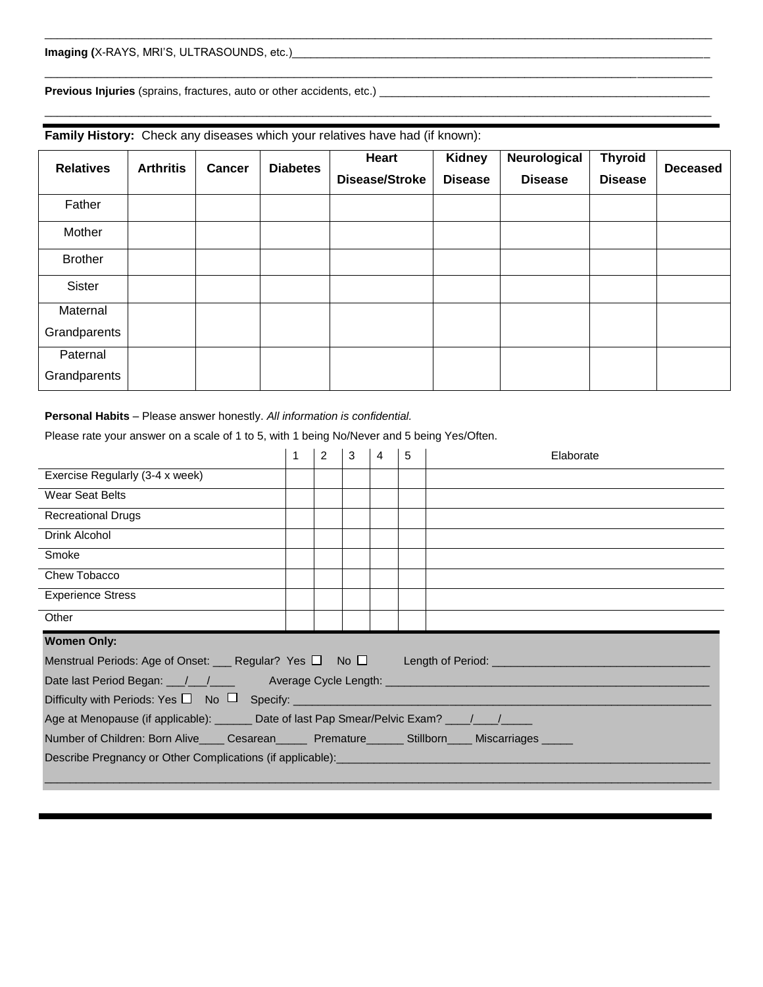**Previous Injuries** (sprains, fractures, auto or other accidents, etc.) \_\_\_\_\_\_\_\_\_\_\_\_\_\_\_\_\_\_\_\_\_\_\_\_\_\_\_\_\_\_\_\_\_\_\_\_\_\_\_\_\_\_\_\_\_\_\_\_\_\_\_\_\_

| <b>Relatives</b> | <b>Arthritis</b><br><b>Cancer</b> | <b>Diabetes</b> | Heart | <b>Kidney</b>         | Neurological   | <b>Thyroid</b> | <b>Deceased</b> |  |
|------------------|-----------------------------------|-----------------|-------|-----------------------|----------------|----------------|-----------------|--|
|                  |                                   |                 |       | <b>Disease/Stroke</b> | <b>Disease</b> | <b>Disease</b> | <b>Disease</b>  |  |
| Father           |                                   |                 |       |                       |                |                |                 |  |
| Mother           |                                   |                 |       |                       |                |                |                 |  |
| <b>Brother</b>   |                                   |                 |       |                       |                |                |                 |  |
| Sister           |                                   |                 |       |                       |                |                |                 |  |
| Maternal         |                                   |                 |       |                       |                |                |                 |  |
| Grandparents     |                                   |                 |       |                       |                |                |                 |  |
| Paternal         |                                   |                 |       |                       |                |                |                 |  |
| Grandparents     |                                   |                 |       |                       |                |                |                 |  |

\_\_\_\_\_\_\_\_\_\_\_\_\_\_\_\_\_\_\_\_\_\_\_\_\_\_\_\_\_\_\_\_\_\_\_\_\_\_\_\_\_\_\_\_\_\_\_\_\_\_\_\_\_\_\_\_\_\_\_\_\_\_\_\_\_\_\_\_\_\_\_\_\_\_\_\_\_\_\_\_\_\_\_\_\_\_\_\_\_\_\_\_\_\_\_\_\_\_\_\_\_\_\_\_\_\_\_

\_\_\_\_\_\_\_\_\_\_\_\_\_\_\_\_\_\_\_\_\_\_\_\_\_\_\_\_\_\_\_\_\_\_\_\_\_\_\_\_\_\_\_\_\_\_\_\_\_\_\_\_\_\_\_\_\_\_\_\_\_\_\_\_\_\_\_\_\_\_\_\_\_\_\_\_\_\_\_\_\_\_\_\_\_\_\_\_\_\_\_\_\_\_\_\_\_\_\_\_\_\_\_\_\_\_\_

**Family History:** Check any diseases which your relatives have had (if known):

#### **Personal Habits** – Please answer honestly. *All information is confidential.*

Please rate your answer on a scale of 1 to 5, with 1 being No/Never and 5 being Yes/Often.

|                                                                                                                                       | $\overline{2}$ | 3 | 4 | 5 | Elaborate |
|---------------------------------------------------------------------------------------------------------------------------------------|----------------|---|---|---|-----------|
| Exercise Regularly (3-4 x week)                                                                                                       |                |   |   |   |           |
| <b>Wear Seat Belts</b>                                                                                                                |                |   |   |   |           |
| <b>Recreational Drugs</b>                                                                                                             |                |   |   |   |           |
| Drink Alcohol                                                                                                                         |                |   |   |   |           |
| Smoke                                                                                                                                 |                |   |   |   |           |
| Chew Tobacco                                                                                                                          |                |   |   |   |           |
| <b>Experience Stress</b>                                                                                                              |                |   |   |   |           |
| Other                                                                                                                                 |                |   |   |   |           |
| <b>Women Only:</b>                                                                                                                    |                |   |   |   |           |
| Menstrual Periods: Age of Onset: ____Regular? Yes □ No □ Length of Period: ________________________                                   |                |   |   |   |           |
|                                                                                                                                       |                |   |   |   |           |
|                                                                                                                                       |                |   |   |   |           |
| Age at Menopause (if applicable): _______ Date of last Pap Smear/Pelvic Exam? ____/____/_____                                         |                |   |   |   |           |
| Number of Children: Born Alive_____ Cesarean________ Premature________ Stillborn_____ Miscarriages______                              |                |   |   |   |           |
| Describe Pregnancy or Other Complications (if applicable): Change Complete Complete Pregnancy or Other Complications (if applicable): |                |   |   |   |           |
|                                                                                                                                       |                |   |   |   |           |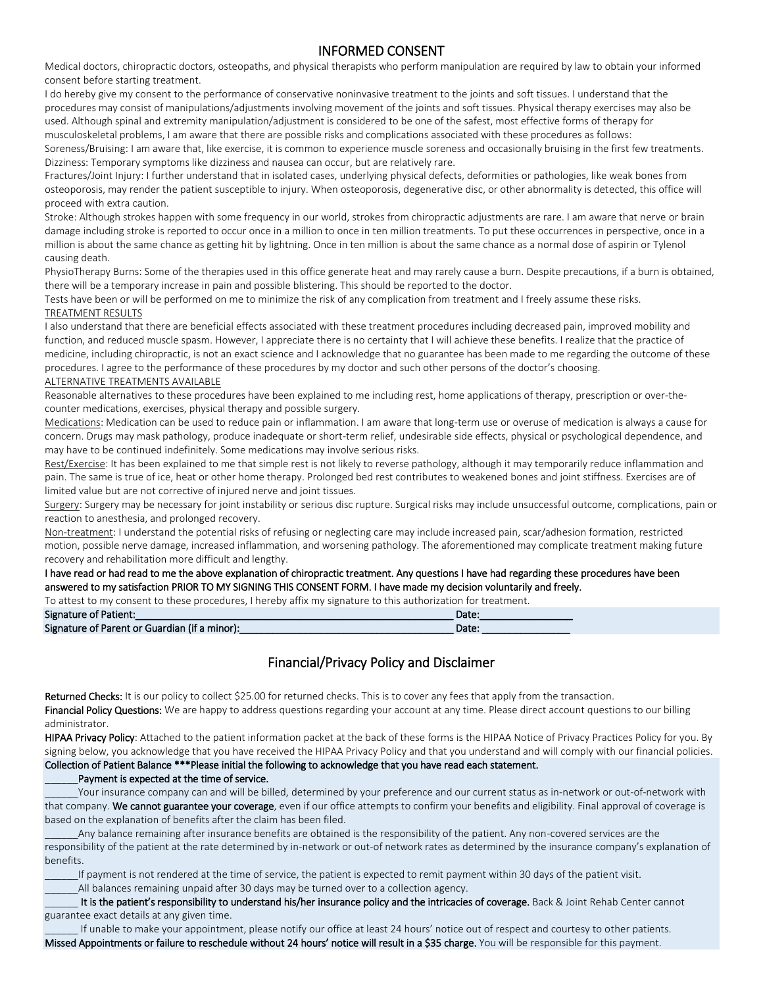# INFORMED CONSENT

Medical doctors, chiropractic doctors, osteopaths, and physical therapists who perform manipulation are required by law to obtain your informed consent before starting treatment.

I do hereby give my consent to the performance of conservative noninvasive treatment to the joints and soft tissues. I understand that the procedures may consist of manipulations/adjustments involving movement of the joints and soft tissues. Physical therapy exercises may also be used. Although spinal and extremity manipulation/adjustment is considered to be one of the safest, most effective forms of therapy for musculoskeletal problems, I am aware that there are possible risks and complications associated with these procedures as follows:

Soreness/Bruising: I am aware that, like exercise, it is common to experience muscle soreness and occasionally bruising in the first few treatments. Dizziness: Temporary symptoms like dizziness and nausea can occur, but are relatively rare.

Fractures/Joint Injury: I further understand that in isolated cases, underlying physical defects, deformities or pathologies, like weak bones from osteoporosis, may render the patient susceptible to injury. When osteoporosis, degenerative disc, or other abnormality is detected, this office will proceed with extra caution.

Stroke: Although strokes happen with some frequency in our world, strokes from chiropractic adjustments are rare. I am aware that nerve or brain damage including stroke is reported to occur once in a million to once in ten million treatments. To put these occurrences in perspective, once in a million is about the same chance as getting hit by lightning. Once in ten million is about the same chance as a normal dose of aspirin or Tylenol causing death.

PhysioTherapy Burns: Some of the therapies used in this office generate heat and may rarely cause a burn. Despite precautions, if a burn is obtained, there will be a temporary increase in pain and possible blistering. This should be reported to the doctor.

Tests have been or will be performed on me to minimize the risk of any complication from treatment and I freely assume these risks. TREATMENT RESULTS

I also understand that there are beneficial effects associated with these treatment procedures including decreased pain, improved mobility and function, and reduced muscle spasm. However, I appreciate there is no certainty that I will achieve these benefits. I realize that the practice of medicine, including chiropractic, is not an exact science and I acknowledge that no guarantee has been made to me regarding the outcome of these procedures. I agree to the performance of these procedures by my doctor and such other persons of the doctor's choosing.

#### ALTERNATIVE TREATMENTS AVAILABLE

Reasonable alternatives to these procedures have been explained to me including rest, home applications of therapy, prescription or over-thecounter medications, exercises, physical therapy and possible surgery.

Medications: Medication can be used to reduce pain or inflammation. I am aware that long-term use or overuse of medication is always a cause for concern. Drugs may mask pathology, produce inadequate or short-term relief, undesirable side effects, physical or psychological dependence, and may have to be continued indefinitely. Some medications may involve serious risks.

Rest/Exercise: It has been explained to me that simple rest is not likely to reverse pathology, although it may temporarily reduce inflammation and pain. The same is true of ice, heat or other home therapy. Prolonged bed rest contributes to weakened bones and joint stiffness. Exercises are of limited value but are not corrective of injured nerve and joint tissues.

Surgery: Surgery may be necessary for joint instability or serious disc rupture. Surgical risks may include unsuccessful outcome, complications, pain or reaction to anesthesia, and prolonged recovery.

Non-treatment: I understand the potential risks of refusing or neglecting care may include increased pain, scar/adhesion formation, restricted motion, possible nerve damage, increased inflammation, and worsening pathology. The aforementioned may complicate treatment making future recovery and rehabilitation more difficult and lengthy.

### I have read or had read to me the above explanation of chiropractic treatment. Any questions I have had regarding these procedures have been answered to my satisfaction PRIOR TO MY SIGNING THIS CONSENT FORM. I have made my decision voluntarily and freely.

To attest to my consent to these procedures, I hereby affix my signature to this authorization for treatment.

| <b>Signature of Patient:</b>                  | Date: |
|-----------------------------------------------|-------|
| Signature of Parent or Guardian (if a minor): | Date: |

# Financial/Privacy Policy and Disclaimer

Returned Checks: It is our policy to collect \$25.00 for returned checks. This is to cover any fees that apply from the transaction. Financial Policy Questions: We are happy to address questions regarding your account at any time. Please direct account questions to our billing administrator.

HIPAA Privacy Policy: Attached to the patient information packet at the back of these forms is the HIPAA Notice of Privacy Practices Policy for you. By signing below, you acknowledge that you have received the HIPAA Privacy Policy and that you understand and will comply with our financial policies. Collection of Patient Balance \*\*\*Please initial the following to acknowledge that you have read each statement.

#### Payment is expected at the time of service.

Your insurance company can and will be billed, determined by your preference and our current status as in-network or out-of-network with that company. We cannot guarantee your coverage, even if our office attempts to confirm your benefits and eligibility. Final approval of coverage is based on the explanation of benefits after the claim has been filed.

Any balance remaining after insurance benefits are obtained is the responsibility of the patient. Any non-covered services are the responsibility of the patient at the rate determined by in-network or out-of network rates as determined by the insurance company's explanation of benefits.

If payment is not rendered at the time of service, the patient is expected to remit payment within 30 days of the patient visit.

All balances remaining unpaid after 30 days may be turned over to a collection agency.

It is the patient's responsibility to understand his/her insurance policy and the intricacies of coverage. Back & Joint Rehab Center cannot guarantee exact details at any given time.

If unable to make your appointment, please notify our office at least 24 hours' notice out of respect and courtesy to other patients. Missed Appointments or failure to reschedule without 24 hours' notice will result in a \$35 charge. You will be responsible for this payment.